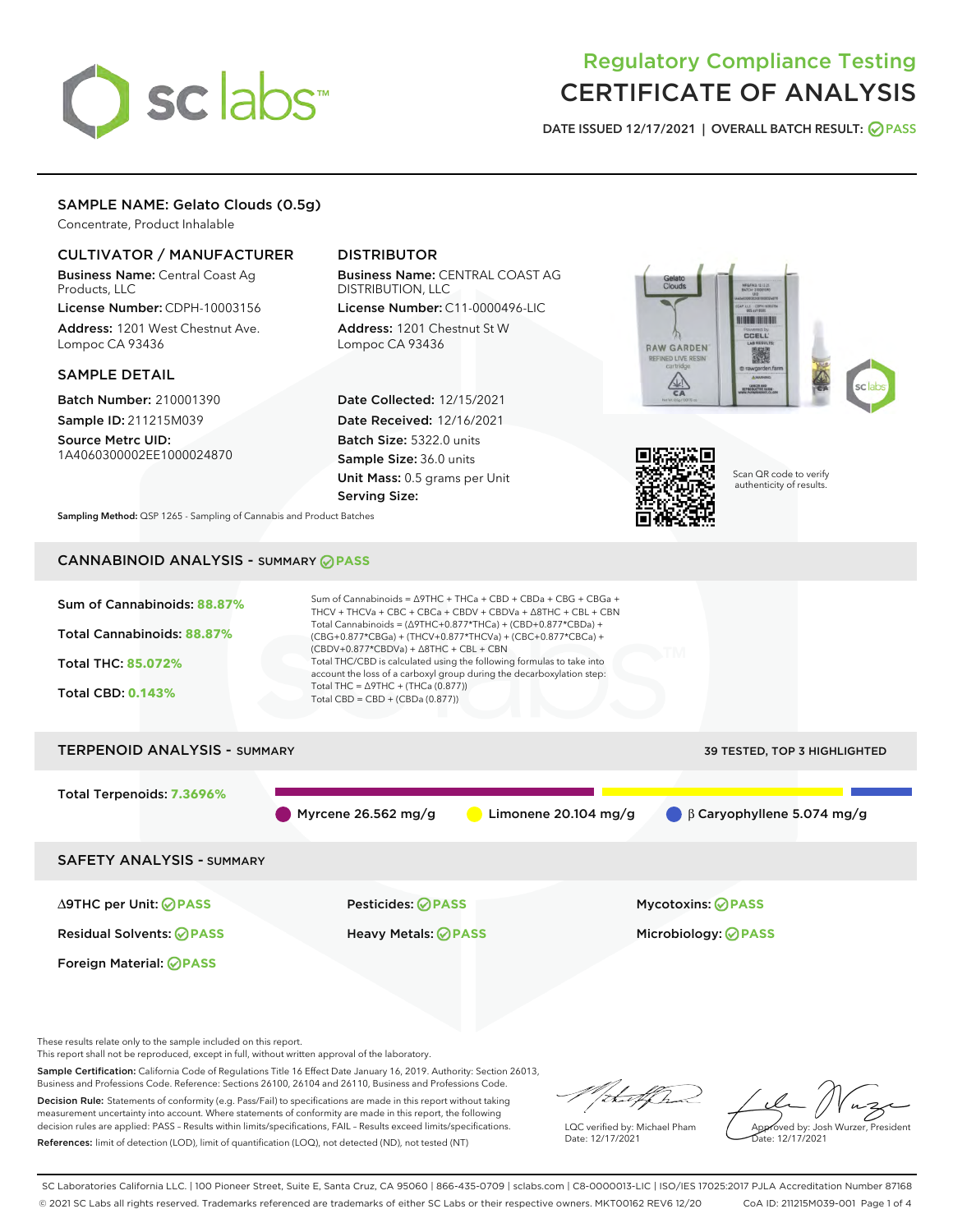# sclabs<sup>\*</sup>

# Regulatory Compliance Testing CERTIFICATE OF ANALYSIS

DATE ISSUED 12/17/2021 | OVERALL BATCH RESULT: @ PASS

#### SAMPLE NAME: Gelato Clouds (0.5g)

Concentrate, Product Inhalable

#### CULTIVATOR / MANUFACTURER

Business Name: Central Coast Ag Products, LLC

License Number: CDPH-10003156 Address: 1201 West Chestnut Ave. Lompoc CA 93436

#### SAMPLE DETAIL

Batch Number: 210001390 Sample ID: 211215M039

Source Metrc UID: 1A4060300002EE1000024870

### DISTRIBUTOR

Business Name: CENTRAL COAST AG DISTRIBUTION, LLC License Number: C11-0000496-LIC

Address: 1201 Chestnut St W Lompoc CA 93436

Date Collected: 12/15/2021 Date Received: 12/16/2021 Batch Size: 5322.0 units Sample Size: 36.0 units Unit Mass: 0.5 grams per Unit Serving Size:





Scan QR code to verify authenticity of results.

Sampling Method: QSP 1265 - Sampling of Cannabis and Product Batches

# CANNABINOID ANALYSIS - SUMMARY **PASS**



This report shall not be reproduced, except in full, without written approval of the laboratory.

Sample Certification: California Code of Regulations Title 16 Effect Date January 16, 2019. Authority: Section 26013, Business and Professions Code. Reference: Sections 26100, 26104 and 26110, Business and Professions Code.

Decision Rule: Statements of conformity (e.g. Pass/Fail) to specifications are made in this report without taking measurement uncertainty into account. Where statements of conformity are made in this report, the following decision rules are applied: PASS – Results within limits/specifications, FAIL – Results exceed limits/specifications. References: limit of detection (LOD), limit of quantification (LOQ), not detected (ND), not tested (NT)

that f(ha

LQC verified by: Michael Pham Date: 12/17/2021

Approved by: Josh Wurzer, President Date: 12/17/2021

SC Laboratories California LLC. | 100 Pioneer Street, Suite E, Santa Cruz, CA 95060 | 866-435-0709 | sclabs.com | C8-0000013-LIC | ISO/IES 17025:2017 PJLA Accreditation Number 87168 © 2021 SC Labs all rights reserved. Trademarks referenced are trademarks of either SC Labs or their respective owners. MKT00162 REV6 12/20 CoA ID: 211215M039-001 Page 1 of 4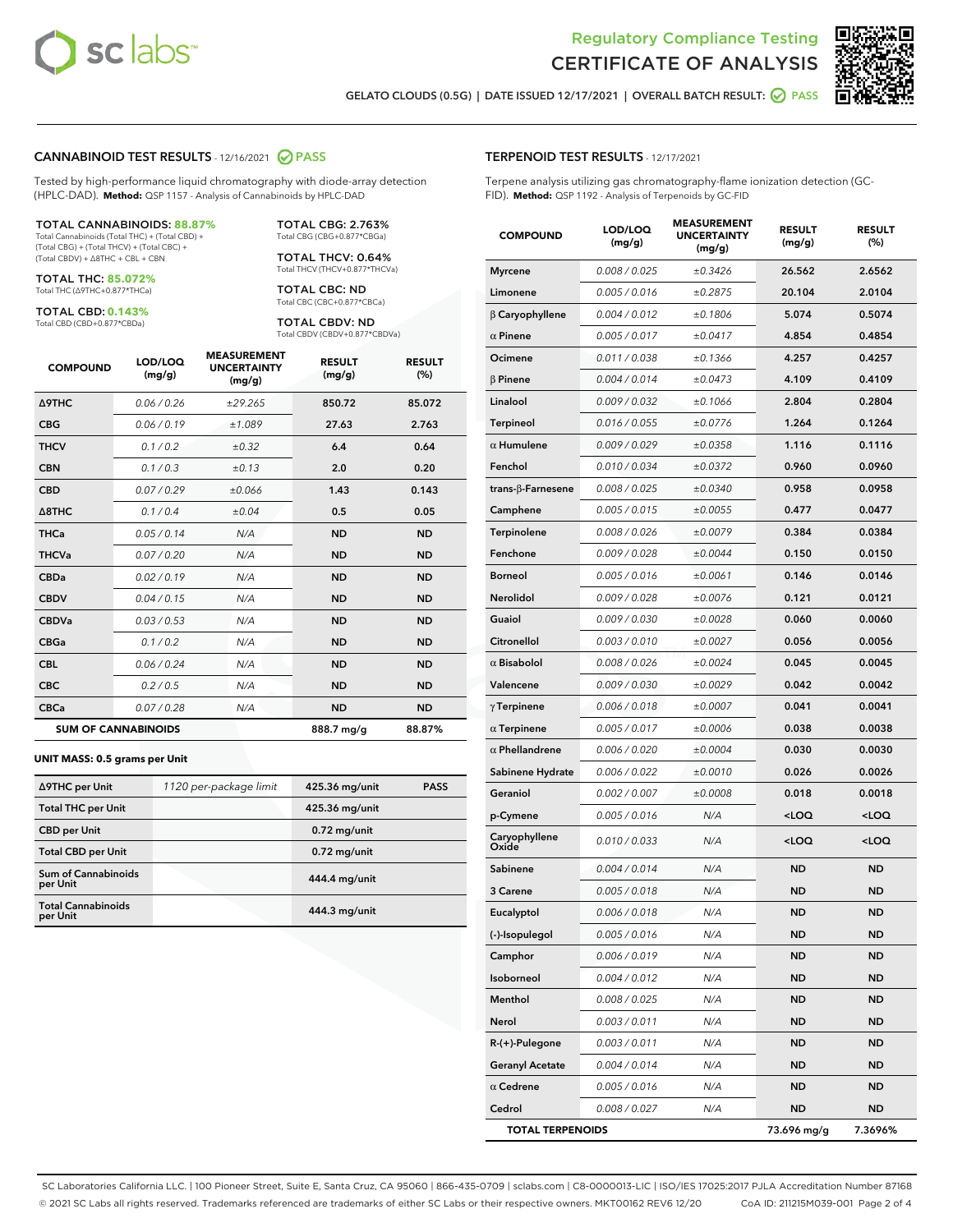



GELATO CLOUDS (0.5G) | DATE ISSUED 12/17/2021 | OVERALL BATCH RESULT: **○** PASS

#### CANNABINOID TEST RESULTS - 12/16/2021 2 PASS

Tested by high-performance liquid chromatography with diode-array detection (HPLC-DAD). **Method:** QSP 1157 - Analysis of Cannabinoids by HPLC-DAD

#### TOTAL CANNABINOIDS: **88.87%**

Total Cannabinoids (Total THC) + (Total CBD) + (Total CBG) + (Total THCV) + (Total CBC) + (Total CBDV) + ∆8THC + CBL + CBN

TOTAL THC: **85.072%** Total THC (∆9THC+0.877\*THCa)

TOTAL CBD: **0.143%**

Total CBD (CBD+0.877\*CBDa)

TOTAL CBG: 2.763% Total CBG (CBG+0.877\*CBGa)

TOTAL THCV: 0.64% Total THCV (THCV+0.877\*THCVa)

TOTAL CBC: ND Total CBC (CBC+0.877\*CBCa)

TOTAL CBDV: ND Total CBDV (CBDV+0.877\*CBDVa)

| <b>COMPOUND</b>  | LOD/LOQ<br>(mg/g)          | <b>MEASUREMENT</b><br><b>UNCERTAINTY</b><br>(mg/g) | <b>RESULT</b><br>(mg/g) | <b>RESULT</b><br>(%) |
|------------------|----------------------------|----------------------------------------------------|-------------------------|----------------------|
| <b>A9THC</b>     | 0.06 / 0.26                | ±29.265                                            | 850.72                  | 85.072               |
| <b>CBG</b>       | 0.06/0.19                  | ±1.089                                             | 27.63                   | 2.763                |
| <b>THCV</b>      | 0.1 / 0.2                  | $\pm 0.32$                                         | 6.4                     | 0.64                 |
| <b>CBN</b>       | 0.1 / 0.3                  | ±0.13                                              | 2.0                     | 0.20                 |
| <b>CBD</b>       | 0.07/0.29                  | ±0.066                                             | 1.43                    | 0.143                |
| $\triangle$ 8THC | 0.1 / 0.4                  | ±0.04                                              | 0.5                     | 0.05                 |
| <b>THCa</b>      | 0.05/0.14                  | N/A                                                | <b>ND</b>               | <b>ND</b>            |
| <b>THCVa</b>     | 0.07/0.20                  | N/A                                                | <b>ND</b>               | <b>ND</b>            |
| <b>CBDa</b>      | 0.02/0.19                  | N/A                                                | <b>ND</b>               | <b>ND</b>            |
| <b>CBDV</b>      | 0.04/0.15                  | N/A                                                | <b>ND</b>               | <b>ND</b>            |
| <b>CBDVa</b>     | 0.03/0.53                  | N/A                                                | <b>ND</b>               | <b>ND</b>            |
| <b>CBGa</b>      | 0.1/0.2                    | N/A                                                | <b>ND</b>               | <b>ND</b>            |
| <b>CBL</b>       | 0.06 / 0.24                | N/A                                                | <b>ND</b>               | <b>ND</b>            |
| <b>CBC</b>       | 0.2 / 0.5                  | N/A                                                | <b>ND</b>               | <b>ND</b>            |
| <b>CBCa</b>      | 0.07 / 0.28                | N/A                                                | <b>ND</b>               | <b>ND</b>            |
|                  | <b>SUM OF CANNABINOIDS</b> |                                                    | 888.7 mg/g              | 88.87%               |

#### **UNIT MASS: 0.5 grams per Unit**

| ∆9THC per Unit                         | 1120 per-package limit | 425.36 mg/unit | <b>PASS</b> |
|----------------------------------------|------------------------|----------------|-------------|
| <b>Total THC per Unit</b>              |                        | 425.36 mg/unit |             |
| <b>CBD</b> per Unit                    |                        | $0.72$ mg/unit |             |
| <b>Total CBD per Unit</b>              |                        | $0.72$ mg/unit |             |
| <b>Sum of Cannabinoids</b><br>per Unit |                        | 444.4 mg/unit  |             |
| <b>Total Cannabinoids</b><br>per Unit  |                        | 444.3 mg/unit  |             |

| <b>COMPOUND</b>         | LOD/LOQ<br>(mg/g)    | WENT<br><b>UNCERTAINTY</b><br>(mg/g) | <b>RESULT</b><br>(mg/g)                         | <b>RESULT</b><br>$(\%)$ |
|-------------------------|----------------------|--------------------------------------|-------------------------------------------------|-------------------------|
| <b>Myrcene</b>          | 0.008 / 0.025        | ±0.3426                              | 26.562                                          | 2.6562                  |
| Limonene                | 0.005 / 0.016        | ±0.2875                              | 20.104                                          | 2.0104                  |
| $\beta$ Caryophyllene   | 0.004 / 0.012        | ±0.1806                              | 5.074                                           | 0.5074                  |
| $\alpha$ Pinene         | 0.005 / 0.017        | ±0.0417                              | 4.854                                           | 0.4854                  |
| Ocimene                 | 0.011 / 0.038        | ±0.1366                              | 4.257                                           | 0.4257                  |
| <b>B</b> Pinene         | 0.004/0.014          | ±0.0473                              | 4.109                                           | 0.4109                  |
| Linalool                | 0.009 / 0.032        | ±0.1066                              | 2.804                                           | 0.2804                  |
| Terpineol               | 0.016 / 0.055        | ±0.0776                              | 1.264                                           | 0.1264                  |
| $\alpha$ Humulene       | 0.009/0.029          | ±0.0358                              | 1.116                                           | 0.1116                  |
| Fenchol                 | 0.010 / 0.034        | ±0.0372                              | 0.960                                           | 0.0960                  |
| trans-β-Farnesene       | 0.008 / 0.025        | ±0.0340                              | 0.958                                           | 0.0958                  |
| Camphene                | 0.005 / 0.015        | ±0.0055                              | 0.477                                           | 0.0477                  |
| Terpinolene             | 0.008 / 0.026        | ±0.0079                              | 0.384                                           | 0.0384                  |
| Fenchone                | 0.009 / 0.028        | ±0.0044                              | 0.150                                           | 0.0150                  |
| <b>Borneol</b>          | 0.005 / 0.016        | ±0.0061                              | 0.146                                           | 0.0146                  |
| <b>Nerolidol</b>        | 0.009 / 0.028        | ±0.0076                              | 0.121                                           | 0.0121                  |
| Guaiol                  | 0.009 / 0.030        | ±0.0028                              | 0.060                                           | 0.0060                  |
| Citronellol             | 0.003 / 0.010        | ±0.0027                              | 0.056                                           | 0.0056                  |
| $\alpha$ Bisabolol      | 0.008 / 0.026        | ±0.0024                              | 0.045                                           | 0.0045                  |
| Valencene               | <i>0.009 / 0.030</i> | ±0.0029                              | 0.042                                           | 0.0042                  |
| $\gamma$ Terpinene      | 0.006 / 0.018        | ±0.0007                              | 0.041                                           | 0.0041                  |
| $\alpha$ Terpinene      | 0.005 / 0.017        | ±0.0006                              | 0.038                                           | 0.0038                  |
| $\alpha$ Phellandrene   | 0.006 / 0.020        | ±0.0004                              | 0.030                                           | 0.0030                  |
| Sabinene Hydrate        | 0.006 / 0.022        | ±0.0010                              | 0.026                                           | 0.0026                  |
| Geraniol                | 0.002 / 0.007        | ±0.0008                              | 0.018                                           | 0.0018                  |
| p-Cymene                | 0.005 / 0.016        | N/A                                  | <loq< th=""><th><loq< th=""></loq<></th></loq<> | <loq< th=""></loq<>     |
| Caryophyllene<br>Oxide  | 0.010 / 0.033        | N/A                                  | <loq< th=""><th><loq< th=""></loq<></th></loq<> | <loq< th=""></loq<>     |
| Sabinene                | 0.004 / 0.014        | N/A                                  | <b>ND</b>                                       | <b>ND</b>               |
| 3 Carene                | 0.005 / 0.018        | N/A                                  | <b>ND</b>                                       | <b>ND</b>               |
| Eucalyptol              | 0.006 / 0.018        | N/A                                  | <b>ND</b>                                       | <b>ND</b>               |
| (-)-Isopulegol          | 0.005 / 0.016        | N/A                                  | ND                                              | ND                      |
| Camphor                 | 0.006 / 0.019        | N/A                                  | ND                                              | ND                      |
| Isoborneol              | 0.004 / 0.012        | N/A                                  | <b>ND</b>                                       | ND                      |
| Menthol                 | 0.008 / 0.025        | N/A                                  | ND                                              | ND                      |
| Nerol                   | 0.003 / 0.011        | N/A                                  | ND                                              | ND                      |
| R-(+)-Pulegone          | 0.003 / 0.011        | N/A                                  | ND                                              | ND                      |
| Geranyl Acetate         | 0.004 / 0.014        | N/A                                  | ND                                              | ND                      |
| $\alpha$ Cedrene        | 0.005 / 0.016        | N/A                                  | ND                                              | ND                      |
| Cedrol                  | 0.008 / 0.027        | N/A                                  | <b>ND</b>                                       | ND                      |
| <b>TOTAL TERPENOIDS</b> |                      |                                      | 73.696 mg/g                                     | 7.3696%                 |

SC Laboratories California LLC. | 100 Pioneer Street, Suite E, Santa Cruz, CA 95060 | 866-435-0709 | sclabs.com | C8-0000013-LIC | ISO/IES 17025:2017 PJLA Accreditation Number 87168 © 2021 SC Labs all rights reserved. Trademarks referenced are trademarks of either SC Labs or their respective owners. MKT00162 REV6 12/20 CoA ID: 211215M039-001 Page 2 of 4

#### TERPENOID TEST RESULTS - 12/17/2021

Terpene analysis utilizing gas chromatography-flame ionization detection (GC-FID). **Method:** QSP 1192 - Analysis of Terpenoids by GC-FID

MEACUREMENT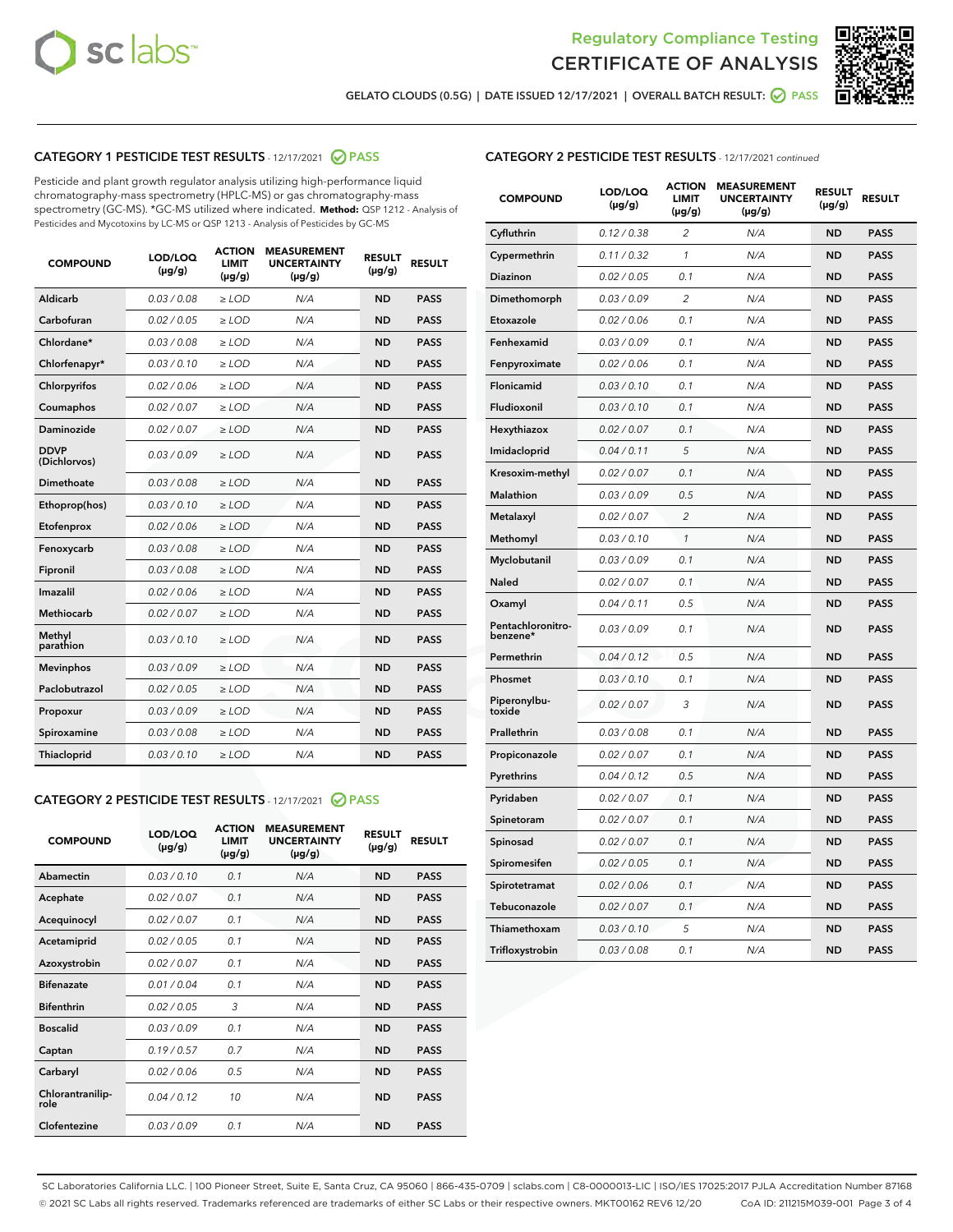



GELATO CLOUDS (0.5G) | DATE ISSUED 12/17/2021 | OVERALL BATCH RESULT: @ PASS

# CATEGORY 1 PESTICIDE TEST RESULTS - 12/17/2021 @ PASS

Pesticide and plant growth regulator analysis utilizing high-performance liquid chromatography-mass spectrometry (HPLC-MS) or gas chromatography-mass spectrometry (GC-MS). \*GC-MS utilized where indicated. **Method:** QSP 1212 - Analysis of Pesticides and Mycotoxins by LC-MS or QSP 1213 - Analysis of Pesticides by GC-MS

| <b>COMPOUND</b>             | LOD/LOQ<br>$(\mu g/g)$ | <b>ACTION</b><br><b>LIMIT</b><br>$(\mu g/g)$ | <b>MEASUREMENT</b><br><b>UNCERTAINTY</b><br>$(\mu g/g)$ | <b>RESULT</b><br>$(\mu g/g)$ | <b>RESULT</b> |
|-----------------------------|------------------------|----------------------------------------------|---------------------------------------------------------|------------------------------|---------------|
| Aldicarb                    | 0.03 / 0.08            | $\geq$ LOD                                   | N/A                                                     | <b>ND</b>                    | <b>PASS</b>   |
| Carbofuran                  | 0.02/0.05              | $\ge$ LOD                                    | N/A                                                     | <b>ND</b>                    | <b>PASS</b>   |
| Chlordane*                  | 0.03 / 0.08            | $\ge$ LOD                                    | N/A                                                     | <b>ND</b>                    | <b>PASS</b>   |
| Chlorfenapyr*               | 0.03/0.10              | $\ge$ LOD                                    | N/A                                                     | <b>ND</b>                    | <b>PASS</b>   |
| Chlorpyrifos                | 0.02 / 0.06            | $\ge$ LOD                                    | N/A                                                     | <b>ND</b>                    | <b>PASS</b>   |
| Coumaphos                   | 0.02 / 0.07            | $\ge$ LOD                                    | N/A                                                     | <b>ND</b>                    | <b>PASS</b>   |
| Daminozide                  | 0.02 / 0.07            | $\ge$ LOD                                    | N/A                                                     | <b>ND</b>                    | <b>PASS</b>   |
| <b>DDVP</b><br>(Dichlorvos) | 0.03/0.09              | $\ge$ LOD                                    | N/A                                                     | <b>ND</b>                    | <b>PASS</b>   |
| Dimethoate                  | 0.03 / 0.08            | $\ge$ LOD                                    | N/A                                                     | <b>ND</b>                    | <b>PASS</b>   |
| Ethoprop(hos)               | 0.03/0.10              | $\ge$ LOD                                    | N/A                                                     | <b>ND</b>                    | <b>PASS</b>   |
| Etofenprox                  | 0.02/0.06              | $\ge$ LOD                                    | N/A                                                     | <b>ND</b>                    | <b>PASS</b>   |
| Fenoxycarb                  | 0.03/0.08              | $\ge$ LOD                                    | N/A                                                     | <b>ND</b>                    | <b>PASS</b>   |
| Fipronil                    | 0.03/0.08              | $\ge$ LOD                                    | N/A                                                     | <b>ND</b>                    | <b>PASS</b>   |
| Imazalil                    | 0.02 / 0.06            | $\ge$ LOD                                    | N/A                                                     | <b>ND</b>                    | <b>PASS</b>   |
| <b>Methiocarb</b>           | 0.02 / 0.07            | $\ge$ LOD                                    | N/A                                                     | <b>ND</b>                    | <b>PASS</b>   |
| Methyl<br>parathion         | 0.03/0.10              | $\ge$ LOD                                    | N/A                                                     | <b>ND</b>                    | <b>PASS</b>   |
| <b>Mevinphos</b>            | 0.03/0.09              | $\ge$ LOD                                    | N/A                                                     | <b>ND</b>                    | <b>PASS</b>   |
| Paclobutrazol               | 0.02 / 0.05            | $\ge$ LOD                                    | N/A                                                     | <b>ND</b>                    | <b>PASS</b>   |
| Propoxur                    | 0.03/0.09              | $\ge$ LOD                                    | N/A                                                     | <b>ND</b>                    | <b>PASS</b>   |
| Spiroxamine                 | 0.03 / 0.08            | $\ge$ LOD                                    | N/A                                                     | <b>ND</b>                    | <b>PASS</b>   |
| <b>Thiacloprid</b>          | 0.03/0.10              | $\ge$ LOD                                    | N/A                                                     | <b>ND</b>                    | <b>PASS</b>   |
|                             |                        |                                              |                                                         |                              |               |

# CATEGORY 2 PESTICIDE TEST RESULTS - 12/17/2021 @ PASS

| <b>COMPOUND</b>          | LOD/LOO<br>$(\mu g/g)$ | <b>ACTION</b><br>LIMIT<br>$(\mu g/g)$ | <b>MEASUREMENT</b><br><b>UNCERTAINTY</b><br>$(\mu g/g)$ | <b>RESULT</b><br>$(\mu g/g)$ | <b>RESULT</b> |  |
|--------------------------|------------------------|---------------------------------------|---------------------------------------------------------|------------------------------|---------------|--|
| Abamectin                | 0.03/0.10              | 0.1                                   | N/A                                                     | <b>ND</b>                    | <b>PASS</b>   |  |
| Acephate                 | 0.02/0.07              | 0.1                                   | N/A                                                     | <b>ND</b>                    | <b>PASS</b>   |  |
| Acequinocyl              | 0.02/0.07              | 0.1                                   | N/A                                                     | <b>ND</b>                    | <b>PASS</b>   |  |
| Acetamiprid              | 0.02/0.05              | 0.1                                   | N/A                                                     | <b>ND</b>                    | <b>PASS</b>   |  |
| Azoxystrobin             | 0.02/0.07              | 0.1                                   | N/A                                                     | <b>ND</b>                    | <b>PASS</b>   |  |
| <b>Bifenazate</b>        | 0.01/0.04              | 0.1                                   | N/A                                                     | <b>ND</b>                    | <b>PASS</b>   |  |
| <b>Bifenthrin</b>        | 0.02/0.05              | 3                                     | N/A                                                     | <b>ND</b>                    | <b>PASS</b>   |  |
| <b>Boscalid</b>          | 0.03/0.09              | 0.1                                   | N/A                                                     | <b>ND</b>                    | <b>PASS</b>   |  |
| Captan                   | 0.19/0.57              | 0.7                                   | N/A                                                     | <b>ND</b>                    | <b>PASS</b>   |  |
| Carbaryl                 | 0.02/0.06              | 0.5                                   | N/A                                                     | <b>ND</b>                    | <b>PASS</b>   |  |
| Chlorantranilip-<br>role | 0.04/0.12              | 10                                    | N/A                                                     | <b>ND</b>                    | <b>PASS</b>   |  |
| Clofentezine             | 0.03/0.09              | 0.1                                   | N/A                                                     | <b>ND</b>                    | <b>PASS</b>   |  |

#### CATEGORY 2 PESTICIDE TEST RESULTS - 12/17/2021 continued

| <b>COMPOUND</b>               | LOD/LOQ<br>(µg/g) | <b>ACTION</b><br><b>LIMIT</b><br>$(\mu g/g)$ | <b>MEASUREMENT</b><br><b>UNCERTAINTY</b><br>$(\mu g/g)$ | <b>RESULT</b><br>(µg/g) | <b>RESULT</b> |
|-------------------------------|-------------------|----------------------------------------------|---------------------------------------------------------|-------------------------|---------------|
| Cyfluthrin                    | 0.12 / 0.38       | $\overline{c}$                               | N/A                                                     | <b>ND</b>               | <b>PASS</b>   |
| Cypermethrin                  | 0.11 / 0.32       | 1                                            | N/A                                                     | ND                      | <b>PASS</b>   |
| <b>Diazinon</b>               | 0.02 / 0.05       | 0.1                                          | N/A                                                     | ND                      | <b>PASS</b>   |
| Dimethomorph                  | 0.03 / 0.09       | 2                                            | N/A                                                     | ND                      | <b>PASS</b>   |
| Etoxazole                     | 0.02 / 0.06       | 0.1                                          | N/A                                                     | ND                      | <b>PASS</b>   |
| Fenhexamid                    | 0.03 / 0.09       | 0.1                                          | N/A                                                     | <b>ND</b>               | <b>PASS</b>   |
| Fenpyroximate                 | 0.02 / 0.06       | 0.1                                          | N/A                                                     | ND                      | <b>PASS</b>   |
| Flonicamid                    | 0.03 / 0.10       | 0.1                                          | N/A                                                     | ND                      | <b>PASS</b>   |
| Fludioxonil                   | 0.03 / 0.10       | 0.1                                          | N/A                                                     | <b>ND</b>               | <b>PASS</b>   |
| Hexythiazox                   | 0.02 / 0.07       | 0.1                                          | N/A                                                     | <b>ND</b>               | <b>PASS</b>   |
| Imidacloprid                  | 0.04 / 0.11       | 5                                            | N/A                                                     | ND                      | <b>PASS</b>   |
| Kresoxim-methyl               | 0.02 / 0.07       | 0.1                                          | N/A                                                     | <b>ND</b>               | <b>PASS</b>   |
| <b>Malathion</b>              | 0.03 / 0.09       | 0.5                                          | N/A                                                     | <b>ND</b>               | <b>PASS</b>   |
| Metalaxyl                     | 0.02 / 0.07       | $\overline{c}$                               | N/A                                                     | ND                      | <b>PASS</b>   |
| Methomyl                      | 0.03 / 0.10       | 1                                            | N/A                                                     | <b>ND</b>               | <b>PASS</b>   |
| Myclobutanil                  | 0.03 / 0.09       | 0.1                                          | N/A                                                     | ND                      | <b>PASS</b>   |
| Naled                         | 0.02 / 0.07       | 0.1                                          | N/A                                                     | ND                      | <b>PASS</b>   |
| Oxamyl                        | 0.04 / 0.11       | 0.5                                          | N/A                                                     | ND                      | <b>PASS</b>   |
| Pentachloronitro-<br>benzene* | 0.03 / 0.09       | 0.1                                          | N/A                                                     | ND                      | <b>PASS</b>   |
| Permethrin                    | 0.04 / 0.12       | 0.5                                          | N/A                                                     | ND                      | <b>PASS</b>   |
| Phosmet                       | 0.03 / 0.10       | 0.1                                          | N/A                                                     | <b>ND</b>               | <b>PASS</b>   |
| Piperonylbu-<br>toxide        | 0.02 / 0.07       | 3                                            | N/A                                                     | ND                      | <b>PASS</b>   |
| Prallethrin                   | 0.03 / 0.08       | 0.1                                          | N/A                                                     | <b>ND</b>               | <b>PASS</b>   |
| Propiconazole                 | 0.02 / 0.07       | 0.1                                          | N/A                                                     | ND                      | <b>PASS</b>   |
| Pyrethrins                    | 0.04 / 0.12       | 0.5                                          | N/A                                                     | ND                      | <b>PASS</b>   |
| Pyridaben                     | 0.02 / 0.07       | 0.1                                          | N/A                                                     | ND                      | <b>PASS</b>   |
| Spinetoram                    | 0.02 / 0.07       | 0.1                                          | N/A                                                     | <b>ND</b>               | <b>PASS</b>   |
| Spinosad                      | 0.02 / 0.07       | 0.1                                          | N/A                                                     | ND                      | <b>PASS</b>   |
| Spiromesifen                  | 0.02 / 0.05       | 0.1                                          | N/A                                                     | <b>ND</b>               | <b>PASS</b>   |
| Spirotetramat                 | 0.02 / 0.06       | 0.1                                          | N/A                                                     | ND                      | <b>PASS</b>   |
| Tebuconazole                  | 0.02 / 0.07       | 0.1                                          | N/A                                                     | ND                      | <b>PASS</b>   |
| Thiamethoxam                  | 0.03 / 0.10       | 5                                            | N/A                                                     | <b>ND</b>               | <b>PASS</b>   |
| Trifloxystrobin               | 0.03 / 0.08       | 0.1                                          | N/A                                                     | <b>ND</b>               | <b>PASS</b>   |

SC Laboratories California LLC. | 100 Pioneer Street, Suite E, Santa Cruz, CA 95060 | 866-435-0709 | sclabs.com | C8-0000013-LIC | ISO/IES 17025:2017 PJLA Accreditation Number 87168 © 2021 SC Labs all rights reserved. Trademarks referenced are trademarks of either SC Labs or their respective owners. MKT00162 REV6 12/20 CoA ID: 211215M039-001 Page 3 of 4